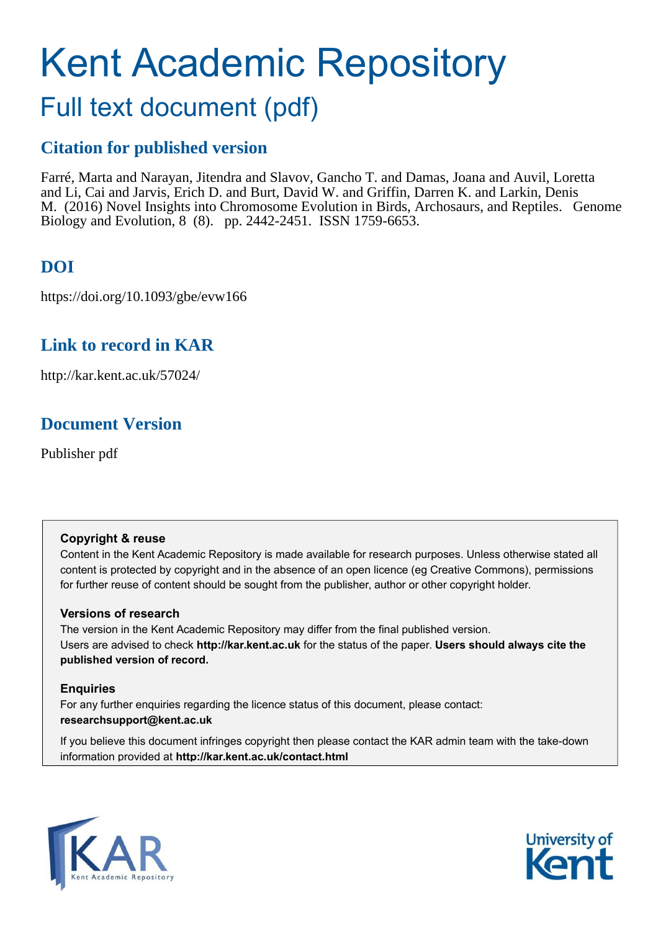# Kent Academic Repository

# Full text document (pdf)

## **Citation for published version**

Farré, Marta and Narayan, Jitendra and Slavov, Gancho T. and Damas, Joana and Auvil, Loretta and Li, Cai and Jarvis, Erich D. and Burt, David W. and Griffin, Darren K. and Larkin, Denis M. (2016) Novel Insights into Chromosome Evolution in Birds, Archosaurs, and Reptiles. Genome Biology and Evolution, 8 (8). pp. 2442-2451. ISSN 1759-6653.

# **DOI**

https://doi.org/10.1093/gbe/evw166

### **Link to record in KAR**

http://kar.kent.ac.uk/57024/

### **Document Version**

Publisher pdf

#### **Copyright & reuse**

Content in the Kent Academic Repository is made available for research purposes. Unless otherwise stated all content is protected by copyright and in the absence of an open licence (eg Creative Commons), permissions for further reuse of content should be sought from the publisher, author or other copyright holder.

#### **Versions of research**

The version in the Kent Academic Repository may differ from the final published version. Users are advised to check **http://kar.kent.ac.uk** for the status of the paper. **Users should always cite the published version of record.**

#### **Enquiries**

For any further enquiries regarding the licence status of this document, please contact: **researchsupport@kent.ac.uk**

If you believe this document infringes copyright then please contact the KAR admin team with the take-down information provided at **http://kar.kent.ac.uk/contact.html**



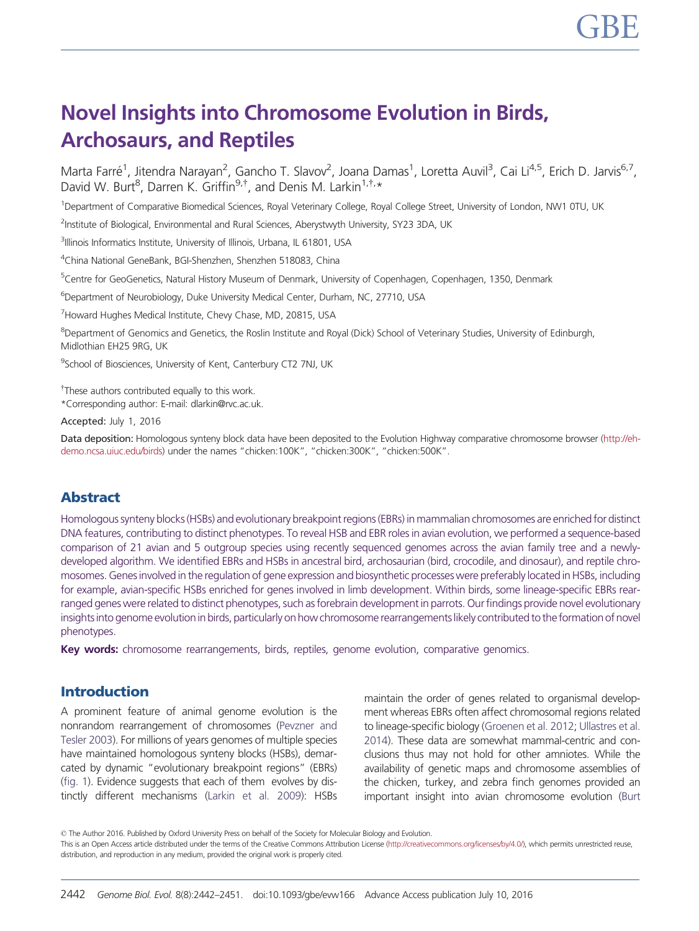# <span id="page-1-0"></span>Novel Insights into Chromosome Evolution in Birds, Archosaurs, and Reptiles

Marta Farré<sup>1</sup>, Jitendra Narayan<sup>2</sup>, Gancho T. Slavov<sup>2</sup>, Joana Damas<sup>1</sup>, Loretta Auvil<sup>3</sup>, Cai Li<sup>4,5</sup>, Erich D. Jarvis<sup>6,7</sup>, David W. Burt<sup>8</sup>, Darren K. Griffin<sup>9,†</sup>, and Denis M. Larkin<sup>1,†,</sup>\*

<sup>1</sup>Department of Comparative Biomedical Sciences, Royal Veterinary College, Royal College Street, University of London, NW1 0TU, UK

<sup>2</sup>Institute of Biological, Environmental and Rural Sciences, Aberystwyth University, SY23 3DA, UK

<sup>3</sup>Illinois Informatics Institute, University of Illinois, Urbana, IL 61801, USA

<sup>4</sup>China National GeneBank, BGI-Shenzhen, Shenzhen 518083, China

<sup>5</sup>Centre for GeoGenetics, Natural History Museum of Denmark, University of Copenhagen, Copenhagen, 1350, Denmark

<sup>6</sup>Department of Neurobiology, Duke University Medical Center, Durham, NC, 27710, USA

<sup>7</sup>Howard Hughes Medical Institute, Chew Chase, MD, 20815, USA

<sup>8</sup>Department of Genomics and Genetics, the Roslin Institute and Royal (Dick) School of Veterinary Studies, University of Edinburgh, Midlothian EH25 9RG, UK

<sup>9</sup>School of Biosciences, University of Kent, Canterbury CT2 7NJ, UK

<sup>†</sup>These authors contributed equally to this work.

\*Corresponding author: E-mail: dlarkin@rvc.ac.uk.

Accepted: July 1, 2016

Data deposition: Homologous synteny block data have been deposited to the Evolution Highway comparative chromosome browser [\(http://eh](http://eh-demo.ncsa.uiuc.edu/birds)[demo.ncsa.uiuc.edu/birds](http://eh-demo.ncsa.uiuc.edu/birds)) under the names "chicken:100K", "chicken:300K", "chicken:500K".

#### Abstract

Homologous synteny blocks (HSBs) and evolutionary breakpoint regions (EBRs) in mammalian chromosomes are enriched for distinct DNA features, contributing to distinct phenotypes. To reveal HSB and EBR roles in avian evolution, we performed a sequence-based comparison of 21 avian and 5 outgroup species using recently sequenced genomes across the avian family tree and a newlydeveloped algorithm. We identified EBRs and HSBs in ancestral bird, archosaurian (bird, crocodile, and dinosaur), and reptile chromosomes. Genes involved in the regulation of gene expression and biosynthetic processes were preferably located in HSBs, including for example, avian-specific HSBs enriched for genes involved in limb development. Within birds, some lineage-specific EBRs rearranged genes were related to distinct phenotypes, such as forebrain development in parrots. Our findings provide novel evolutionary insights into genome evolution in birds, particularly on how chromosome rearrangements likely contributed to the formation of novel phenotypes.

Key words: chromosome rearrangements, birds, reptiles, genome evolution, comparative genomics.

#### Introduction

A prominent feature of animal genome evolution is the nonrandom rearrangement of chromosomes [\(Pevzner and](#page-9-0) [Tesler 2003\)](#page-9-0). For millions of years genomes of multiple species have maintained homologous synteny blocks (HSBs), demarcated by dynamic "evolutionary breakpoint regions" (EBRs) (fig. 1). Evidence suggests that each of them evolves by distinctly different mechanisms [\(Larkin et al. 2009\)](#page-9-0): HSBs maintain the order of genes related to organismal development whereas EBRs often affect chromosomal regions related to lineage-specific biology [\(Groenen et al. 2012](#page-8-0); [Ullastres et al.](#page-9-0) [2014](#page-9-0)). These data are somewhat mammal-centric and conclusions thus may not hold for other amniotes. While the availability of genetic maps and chromosome assemblies of the chicken, turkey, and zebra finch genomes provided an important insight into avian chromosome evolution ([Burt](#page-8-0)

- The Author 2016. Published by Oxford University Press on behalf of the Society for Molecular Biology and Evolution. This is an Open Access article distributed under the terms of the Creative Commons Attribution License [\(http://creativecommons.org/licenses/by/4.0/\)](http://creativecommons.org/licenses/by/4.0/), which permits unrestricted reuse, distribution, and reproduction in any medium, provided the original work is properly cited.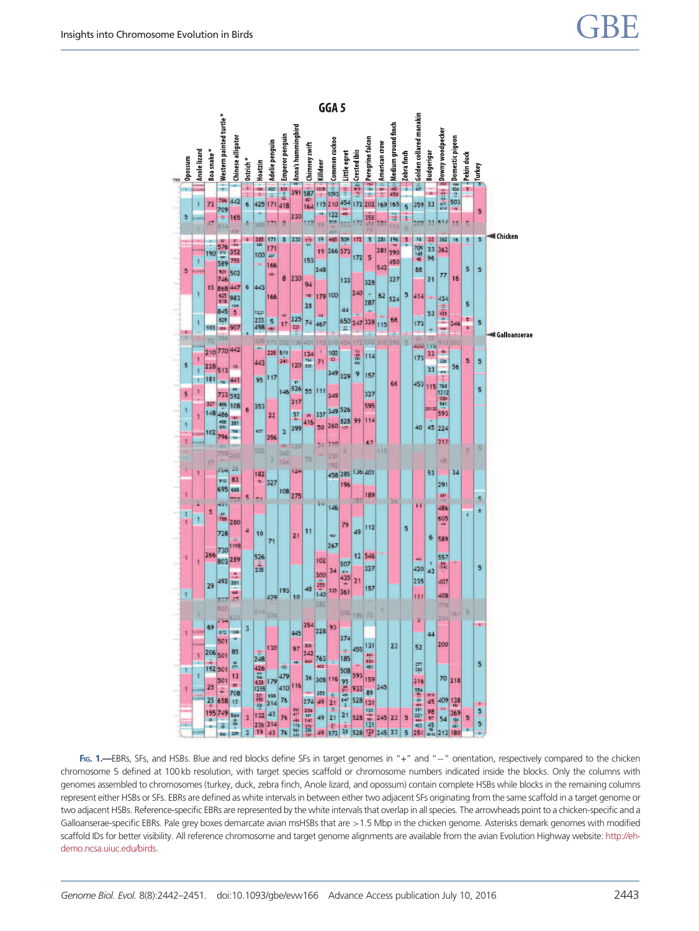

Fig. 1.—EBRs, SFs, and HSBs. Blue and red blocks define SFs in target genomes in "+" and "-" orientation, respectively compared to the chicken chromosome 5 defined at 100 kb resolution, with target species scaffold or chromosome numbers indicated inside the blocks. Only the columns with genomes assembled to chromosomes (turkey, duck, zebra finch, Anole lizard, and opossum) contain complete HSBs while blocks in the remaining columns represent either HSBs or SFs. EBRs are defined as white intervals in between either two adjacent SFs originating from the same scaffold in a target genome or two adjacent HSBs. Reference-specific EBRs are represented by the white intervals that overlap in all species. The arrowheads point to a chicken-specific and a Galloanserae-specific EBRs. Pale grey boxes demarcate avian msHSBs that are >1.5 Mbp in the chicken genome. Asterisks demark genomes with modified scaffold IDs for better visibility. All reference chromosome and target genome alignments are available from the avian Evolution Highway website: [http://eh](http://eh-demo.ncsa.uiuc.edu/birds)[demo.ncsa.uiuc.edu/birds.](http://eh-demo.ncsa.uiuc.edu/birds)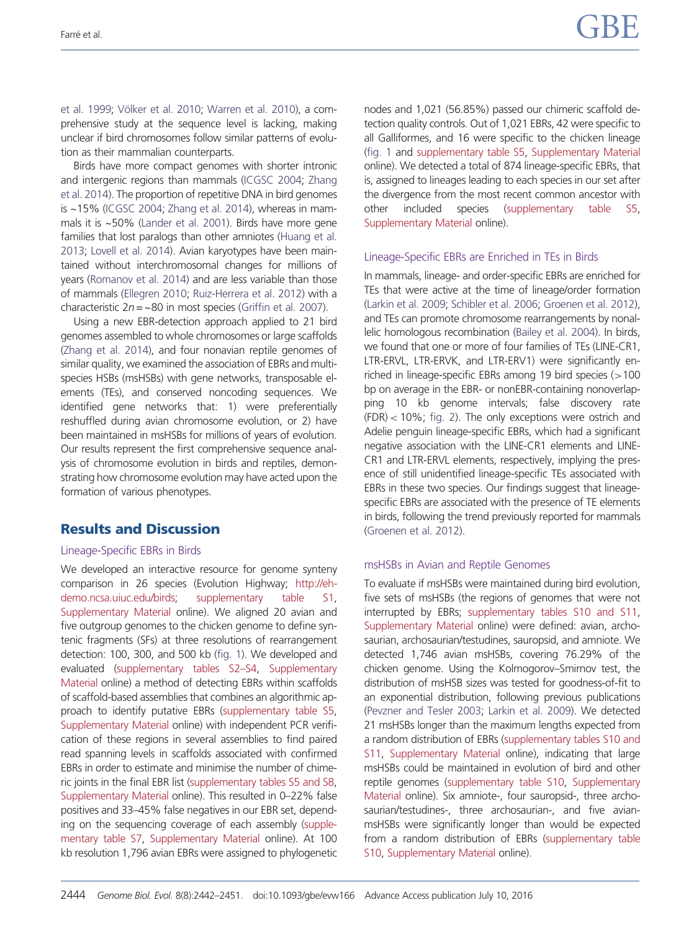[et al. 1999;](#page-8-0) Vö[lker et al. 2010](#page-9-0); [Warren et al. 2010\)](#page-9-0), a comprehensive study at the sequence level is lacking, making unclear if bird chromosomes follow similar patterns of evolution as their mammalian counterparts.

Birds have more compact genomes with shorter intronic and intergenic regions than mammals [\(ICGSC 2004;](#page-8-0) [Zhang](#page-9-0) [et al. 2014](#page-9-0)). The proportion of repetitive DNA in bird genomes is ~15% [\(ICGSC 2004](#page-8-0); [Zhang et al. 2014](#page-9-0)), whereas in mammals it is ~50% [\(Lander et al. 2001](#page-9-0)). Birds have more gene families that lost paralogs than other amniotes [\(Huang et al.](#page-8-0) [2013;](#page-8-0) [Lovell et al. 2014\)](#page-9-0). Avian karyotypes have been maintained without interchromosomal changes for millions of years ([Romanov et al. 2014\)](#page-9-0) and are less variable than those of mammals ([Ellegren 2010](#page-8-0); [Ruiz-Herrera et al. 2012](#page-9-0)) with a characteristic  $2n = -80$  in most species ([Griffin et al. 2007](#page-8-0)).

Using a new EBR-detection approach applied to 21 bird genomes assembled to whole chromosomes or large scaffolds [\(Zhang et al. 2014](#page-9-0)), and four nonavian reptile genomes of similar quality, we examined the association of EBRs and multispecies HSBs (msHSBs) with gene networks, transposable elements (TEs), and conserved noncoding sequences. We identified gene networks that: 1) were preferentially reshuffled during avian chromosome evolution, or 2) have been maintained in msHSBs for millions of years of evolution. Our results represent the first comprehensive sequence analysis of chromosome evolution in birds and reptiles, demonstrating how chromosome evolution may have acted upon the formation of various phenotypes.

#### Results and Discussion

#### Lineage-Specific EBRs in Birds

We developed an interactive resource for genome synteny comparison in 26 species (Evolution Highway; [http://eh](http://eh-demo.ncsa.uiuc.edu/birds)[demo.ncsa.uiuc.edu/birds](http://eh-demo.ncsa.uiuc.edu/birds); [supplementary table S1,](http://gbe.oxfordjournals.org/lookup/suppl/doi:10.1093/gbe/evw166/-/DC1) [Supplementary Material](http://gbe.oxfordjournals.org/lookup/suppl/doi:10.1093/gbe/evw166/-/DC1) online). We aligned 20 avian and five outgroup genomes to the chicken genome to define syntenic fragments (SFs) at three resolutions of rearrangement detection: 100, 300, and 500 kb [\(fig. 1\)](#page-1-0). We developed and evaluated ([supplementary tables S2–S4,](http://gbe.oxfordjournals.org/lookup/suppl/doi:10.1093/gbe/evw166/-/DC1) [Supplementary](http://gbe.oxfordjournals.org/lookup/suppl/doi:10.1093/gbe/evw166/-/DC1) [Material](http://gbe.oxfordjournals.org/lookup/suppl/doi:10.1093/gbe/evw166/-/DC1) online) a method of detecting EBRs within scaffolds of scaffold-based assemblies that combines an algorithmic approach to identify putative EBRs [\(supplementary table S5,](http://gbe.oxfordjournals.org/lookup/suppl/doi:10.1093/gbe/evw166/-/DC1) [Supplementary Material](http://gbe.oxfordjournals.org/lookup/suppl/doi:10.1093/gbe/evw166/-/DC1) online) with independent PCR verification of these regions in several assemblies to find paired read spanning levels in scaffolds associated with confirmed EBRs in order to estimate and minimise the number of chime-ric joints in the final EBR list [\(supplementary tables S5 and S8,](http://gbe.oxfordjournals.org/lookup/suppl/doi:10.1093/gbe/evw166/-/DC1) [Supplementary Material](http://gbe.oxfordjournals.org/lookup/suppl/doi:10.1093/gbe/evw166/-/DC1) online). This resulted in 0–22% false positives and 33–45% false negatives in our EBR set, depending on the sequencing coverage of each assembly [\(supple](http://gbe.oxfordjournals.org/lookup/suppl/doi:10.1093/gbe/evw166/-/DC1)[mentary table S7,](http://gbe.oxfordjournals.org/lookup/suppl/doi:10.1093/gbe/evw166/-/DC1) [Supplementary Material](http://gbe.oxfordjournals.org/lookup/suppl/doi:10.1093/gbe/evw166/-/DC1) online). At 100 kb resolution 1,796 avian EBRs were assigned to phylogenetic nodes and 1,021 (56.85%) passed our chimeric scaffold detection quality controls. Out of 1,021 EBRs, 42 were specific to all Galliformes, and 16 were specific to the chicken lineage ([fig. 1](#page-1-0) and [supplementary table S5](http://gbe.oxfordjournals.org/lookup/suppl/doi:10.1093/gbe/evw166/-/DC1), [Supplementary Material](http://gbe.oxfordjournals.org/lookup/suppl/doi:10.1093/gbe/evw166/-/DC1) online). We detected a total of 874 lineage-specific EBRs, that is, assigned to lineages leading to each species in our set after the divergence from the most recent common ancestor with other included species [\(supplementary table S5](http://gbe.oxfordjournals.org/lookup/suppl/doi:10.1093/gbe/evw166/-/DC1), [Supplementary Material](http://gbe.oxfordjournals.org/lookup/suppl/doi:10.1093/gbe/evw166/-/DC1) online).

#### Lineage-Specific EBRs are Enriched in TEs in Birds

In mammals, lineage- and order-specific EBRs are enriched for TEs that were active at the time of lineage/order formation ([Larkin et al. 2009;](#page-9-0) [Schibler et al. 2006](#page-9-0); [Groenen et al. 2012\)](#page-8-0), and TEs can promote chromosome rearrangements by nonallelic homologous recombination [\(Bailey et al. 2004](#page-8-0)). In birds, we found that one or more of four families of TEs (LINE-CR1, LTR-ERVL, LTR-ERVK, and LTR-ERV1) were significantly enriched in lineage-specific EBRs among 19 bird species  $(>100$ bp on average in the EBR- or nonEBR-containing nonoverlapping 10 kb genome intervals; false discovery rate  $(FDR) < 10\%$ ; fig. 2). The only exceptions were ostrich and Adelie penguin lineage-specific EBRs, which had a significant negative association with the LINE-CR1 elements and LINE-CR1 and LTR-ERVL elements, respectively, implying the presence of still unidentified lineage-specific TEs associated with EBRs in these two species. Our findings suggest that lineagespecific EBRs are associated with the presence of TE elements in birds, following the trend previously reported for mammals ([Groenen et al. 2012](#page-8-0)).

#### msHSBs in Avian and Reptile Genomes

To evaluate if msHSBs were maintained during bird evolution, five sets of msHSBs (the regions of genomes that were not interrupted by EBRs; [supplementary tables S10 and S11](http://gbe.oxfordjournals.org/lookup/suppl/doi:10.1093/gbe/evw166/-/DC1), [Supplementary Material](http://gbe.oxfordjournals.org/lookup/suppl/doi:10.1093/gbe/evw166/-/DC1) online) were defined: avian, archosaurian, archosaurian/testudines, sauropsid, and amniote. We detected 1,746 avian msHSBs, covering 76.29% of the chicken genome. Using the Kolmogorov–Smirnov test, the distribution of msHSB sizes was tested for goodness-of-fit to an exponential distribution, following previous publications ([Pevzner and Tesler 2003](#page-9-0); [Larkin et al. 2009\)](#page-9-0). We detected 21 msHSBs longer than the maximum lengths expected from a random distribution of EBRs ([supplementary tables S10 and](http://gbe.oxfordjournals.org/lookup/suppl/doi:10.1093/gbe/evw166/-/DC1) [S11,](http://gbe.oxfordjournals.org/lookup/suppl/doi:10.1093/gbe/evw166/-/DC1) [Supplementary Material](http://gbe.oxfordjournals.org/lookup/suppl/doi:10.1093/gbe/evw166/-/DC1) online), indicating that large msHSBs could be maintained in evolution of bird and other reptile genomes [\(supplementary table S10,](http://gbe.oxfordjournals.org/lookup/suppl/doi:10.1093/gbe/evw166/-/DC1) [Supplementary](http://gbe.oxfordjournals.org/lookup/suppl/doi:10.1093/gbe/evw166/-/DC1) [Material](http://gbe.oxfordjournals.org/lookup/suppl/doi:10.1093/gbe/evw166/-/DC1) online). Six amniote-, four sauropsid-, three archosaurian/testudines-, three archosaurian-, and five avianmsHSBs were significantly longer than would be expected from a random distribution of EBRs [\(supplementary table](http://gbe.oxfordjournals.org/lookup/suppl/doi:10.1093/gbe/evw166/-/DC1) [S10,](http://gbe.oxfordjournals.org/lookup/suppl/doi:10.1093/gbe/evw166/-/DC1) [Supplementary Material](http://gbe.oxfordjournals.org/lookup/suppl/doi:10.1093/gbe/evw166/-/DC1) online).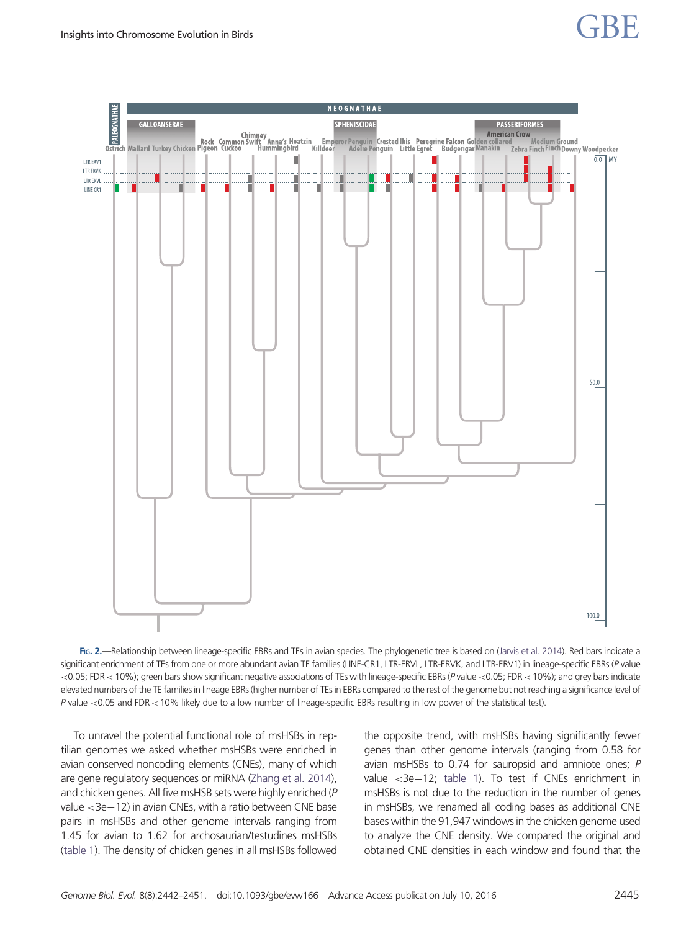<span id="page-4-0"></span>

FIG. 2.—Relationship between lineage-specific EBRs and TEs in avian species. The phylogenetic tree is based on ([Jarvis et al. 2014\)](#page-8-0). Red bars indicate a significant enrichment of TEs from one or more abundant avian TE families (LINE-CR1, LTR-ERVL, LTR-ERVK, and LTR-ERV1) in lineage-specific EBRs (P value <0.05; FDR< 10%); green bars show significant negative associations of TEs with lineage-specific EBRs (P value <0.05; FDR< 10%); and grey bars indicate elevated numbers of the TE families in lineage EBRs (higher number of TEs in EBRs compared to the rest of the genome but not reaching a significance level of P value <0.05 and FDR< 10% likely due to a low number of lineage-specific EBRs resulting in low power of the statistical test).

To unravel the potential functional role of msHSBs in reptilian genomes we asked whether msHSBs were enriched in avian conserved noncoding elements (CNEs), many of which are gene regulatory sequences or miRNA [\(Zhang et al. 2014](#page-9-0)), and chicken genes. All five msHSB sets were highly enriched (P value <3e-12) in avian CNEs, with a ratio between CNE base pairs in msHSBs and other genome intervals ranging from 1.45 for avian to 1.62 for archosaurian/testudines msHSBs (table 1). The density of chicken genes in all msHSBs followed the opposite trend, with msHSBs having significantly fewer genes than other genome intervals (ranging from 0.58 for avian msHSBs to 0.74 for sauropsid and amniote ones; P value <3e-12; table 1). To test if CNEs enrichment in msHSBs is not due to the reduction in the number of genes in msHSBs, we renamed all coding bases as additional CNE bases within the 91,947 windows in the chicken genome used to analyze the CNE density. We compared the original and obtained CNE densities in each window and found that the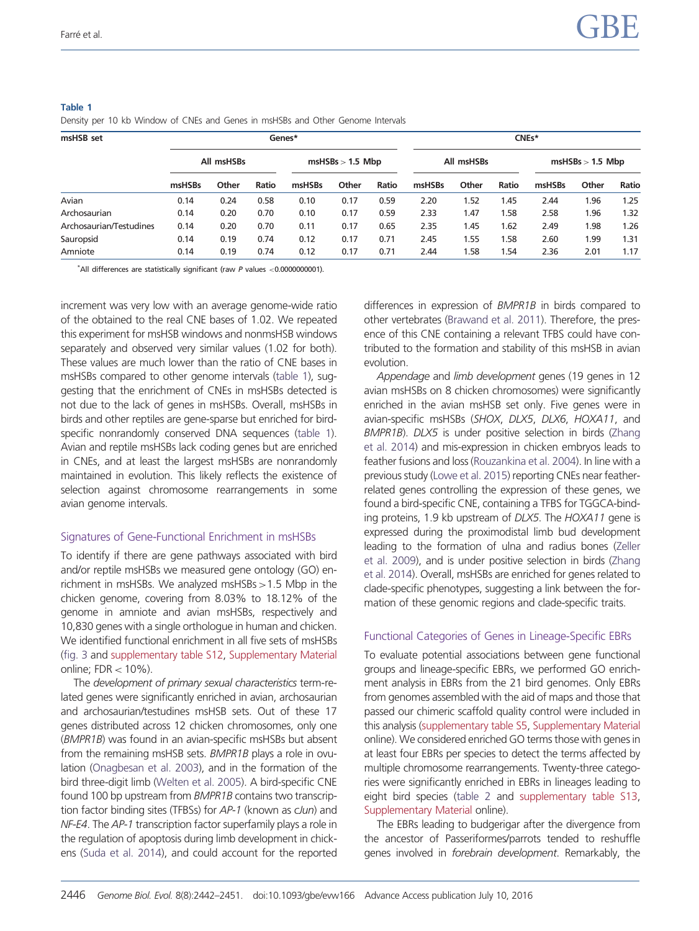| msHSB set               | Genes*     |       |       |                    |       | CNEs* |            |       |       |                    |       |       |
|-------------------------|------------|-------|-------|--------------------|-------|-------|------------|-------|-------|--------------------|-------|-------|
|                         | All msHSBs |       |       | $msHSBs > 1.5$ Mbp |       |       | All msHSBs |       |       | $msHSBs > 1.5$ Mbp |       |       |
|                         | msHSBs     | Other | Ratio | msHSBs             | Other | Ratio | msHSBs     | Other | Ratio | msHSBs             | Other | Ratio |
| Avian                   | 0.14       | 0.24  | 0.58  | 0.10               | 0.17  | 0.59  | 2.20       | 1.52  | 1.45  | 2.44               | 1.96  | 1.25  |
| Archosaurian            | 0.14       | 0.20  | 0.70  | 0.10               | 0.17  | 0.59  | 2.33       | 1.47  | 1.58  | 2.58               | 1.96  | 1.32  |
| Archosaurian/Testudines | 0.14       | 0.20  | 0.70  | 0.11               | 0.17  | 0.65  | 2.35       | 1.45  | 1.62  | 2.49               | 1.98  | 1.26  |
| Sauropsid               | 0.14       | 0.19  | 0.74  | 0.12               | 0.17  | 0.71  | 2.45       | 1.55  | 1.58  | 2.60               | 1.99  | 1.31  |
| Amniote                 | 0.14       | 0.19  | 0.74  | 0.12               | 0.17  | 0.71  | 2.44       | 1.58  | 1.54  | 2.36               | 2.01  | 1.17  |

#### <span id="page-5-0"></span>Table 1

Density per 10 kb Window of CNEs and Genes in msHSBs and Other Genome Intervals

 $*$ All differences are statistically significant (raw P values <0.0000000001).

increment was very low with an average genome-wide ratio of the obtained to the real CNE bases of 1.02. We repeated this experiment for msHSB windows and nonmsHSB windows separately and observed very similar values (1.02 for both). These values are much lower than the ratio of CNE bases in msHSBs compared to other genome intervals [\(table 1](#page-4-0)), suggesting that the enrichment of CNEs in msHSBs detected is not due to the lack of genes in msHSBs. Overall, msHSBs in birds and other reptiles are gene-sparse but enriched for birdspecific nonrandomly conserved DNA sequences ([table 1](#page-4-0)). Avian and reptile msHSBs lack coding genes but are enriched in CNEs, and at least the largest msHSBs are nonrandomly maintained in evolution. This likely reflects the existence of selection against chromosome rearrangements in some avian genome intervals.

#### Signatures of Gene-Functional Enrichment in msHSBs

To identify if there are gene pathways associated with bird and/or reptile msHSBs we measured gene ontology (GO) enrichment in msHSBs. We analyzed msHSBs>1.5 Mbp in the chicken genome, covering from 8.03% to 18.12% of the genome in amniote and avian msHSBs, respectively and 10,830 genes with a single orthologue in human and chicken. We identified functional enrichment in all five sets of msHSBs (fig. 3 and [supplementary table S12](http://gbe.oxfordjournals.org/lookup/suppl/doi:10.1093/gbe/evw166/-/DC1), [Supplementary Material](http://gbe.oxfordjournals.org/lookup/suppl/doi:10.1093/gbe/evw166/-/DC1) online;  $FDR < 10\%$ ).

The development of primary sexual characteristics term-related genes were significantly enriched in avian, archosaurian and archosaurian/testudines msHSB sets. Out of these 17 genes distributed across 12 chicken chromosomes, only one (BMPR1B) was found in an avian-specific msHSBs but absent from the remaining msHSB sets. BMPR1B plays a role in ovulation [\(Onagbesan et al. 2003](#page-9-0)), and in the formation of the bird three-digit limb [\(Welten et al. 2005\)](#page-9-0). A bird-specific CNE found 100 bp upstream from BMPR1B contains two transcription factor binding sites (TFBSs) for AP-1 (known as cJun) and NF-E4. The AP-1 transcription factor superfamily plays a role in the regulation of apoptosis during limb development in chickens [\(Suda et al. 2014\)](#page-9-0), and could account for the reported differences in expression of BMPR1B in birds compared to other vertebrates ([Brawand et al. 2011](#page-8-0)). Therefore, the presence of this CNE containing a relevant TFBS could have contributed to the formation and stability of this msHSB in avian evolution.

Appendage and limb development genes (19 genes in 12 avian msHSBs on 8 chicken chromosomes) were significantly enriched in the avian msHSB set only. Five genes were in avian-specific msHSBs (SHOX, DLX5, DLX6, HOXA11, and BMPR1B). DLX5 is under positive selection in birds ([Zhang](#page-9-0) [et al. 2014](#page-9-0)) and mis-expression in chicken embryos leads to feather fusions and loss ([Rouzankina et al. 2004\)](#page-9-0). In line with a previous study [\(Lowe et al. 2015](#page-9-0)) reporting CNEs near featherrelated genes controlling the expression of these genes, we found a bird-specific CNE, containing a TFBS for TGGCA-binding proteins, 1.9 kb upstream of DLX5. The HOXA11 gene is expressed during the proximodistal limb bud development leading to the formation of ulna and radius bones [\(Zeller](#page-9-0) [et al. 2009](#page-9-0)), and is under positive selection in birds ([Zhang](#page-9-0) [et al. 2014](#page-9-0)). Overall, msHSBs are enriched for genes related to clade-specific phenotypes, suggesting a link between the formation of these genomic regions and clade-specific traits.

#### Functional Categories of Genes in Lineage-Specific EBRs

To evaluate potential associations between gene functional groups and lineage-specific EBRs, we performed GO enrichment analysis in EBRs from the 21 bird genomes. Only EBRs from genomes assembled with the aid of maps and those that passed our chimeric scaffold quality control were included in this analysis ([supplementary table S5](http://gbe.oxfordjournals.org/lookup/suppl/doi:10.1093/gbe/evw166/-/DC1), [Supplementary Material](http://gbe.oxfordjournals.org/lookup/suppl/doi:10.1093/gbe/evw166/-/DC1) online). We considered enriched GO terms those with genes in at least four EBRs per species to detect the terms affected by multiple chromosome rearrangements. Twenty-three categories were significantly enriched in EBRs in lineages leading to eight bird species (table 2 and [supplementary table S13](http://gbe.oxfordjournals.org/lookup/suppl/doi:10.1093/gbe/evw166/-/DC1), [Supplementary Material](http://gbe.oxfordjournals.org/lookup/suppl/doi:10.1093/gbe/evw166/-/DC1) online).

The EBRs leading to budgerigar after the divergence from the ancestor of Passeriformes/parrots tended to reshuffle genes involved in forebrain development. Remarkably, the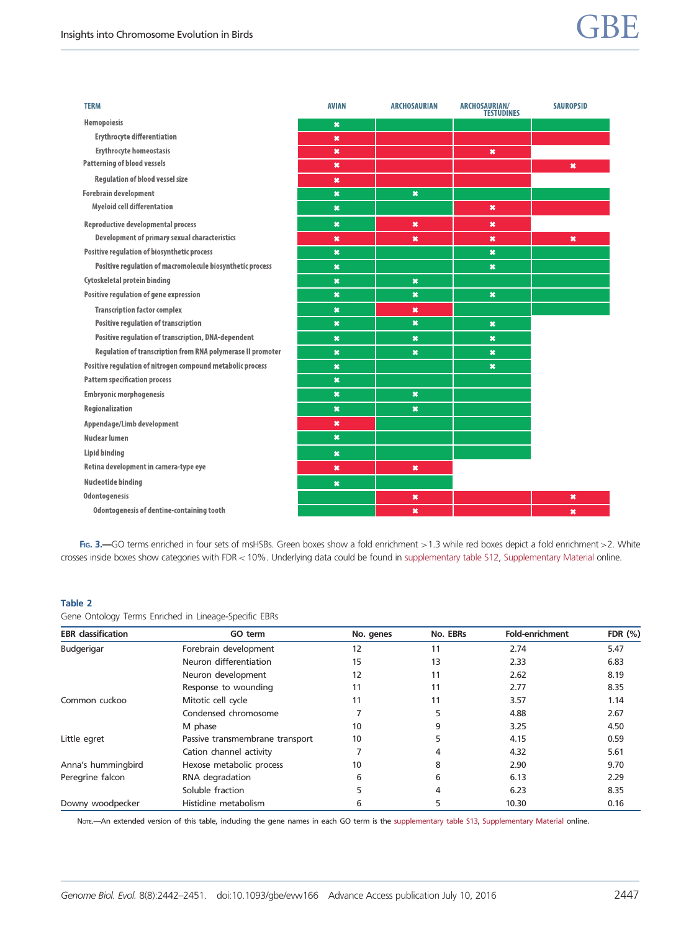<span id="page-6-0"></span>

| <b>TERM</b>                                                 | <b>AVIAN</b>        | <b>ARCHOSAURIAN</b>       | <b>ARCHOSAURIAN/</b><br><b>TESTUDINES</b> | <b>SAUROPSID</b>    |
|-------------------------------------------------------------|---------------------|---------------------------|-------------------------------------------|---------------------|
| Hemopoiesis                                                 | $\star$             |                           |                                           |                     |
| <b>Erythrocyte differentiation</b>                          | ×                   |                           |                                           |                     |
| <b>Erythrocyte homeostasis</b>                              | ×                   |                           | $\pmb{\times}$                            |                     |
| <b>Patterning of blood vessels</b>                          | ×                   |                           |                                           | $\pmb{\times}$      |
| <b>Regulation of blood vessel size</b>                      | ×                   |                           |                                           |                     |
| <b>Forebrain development</b>                                | $\boldsymbol{\ast}$ | $\boldsymbol{\ast}$       |                                           |                     |
| <b>Myeloid cell differentation</b>                          | $\star$             |                           | $\pmb{\times}$                            |                     |
| <b>Reproductive developmental process</b>                   | $\boldsymbol{\ast}$ | $\ast$                    | $\pmb{\times}$                            |                     |
| Development of primary sexual characteristics               | ×                   | ×                         | $\boldsymbol{\ast}$                       | $\pmb{\times}$      |
| Positive regulation of biosynthetic process                 | $\ast$              |                           | $\boldsymbol{\ast}$                       |                     |
| Positive regulation of macromolecule biosynthetic process   | $\star$             |                           | $\boldsymbol{\mathsf{x}}$                 |                     |
| Cytoskeletal protein binding                                | $\boldsymbol{\ast}$ | $\boldsymbol{\ast}$       |                                           |                     |
| Positive regulation of gene expression                      | $\star$             | $\boldsymbol{\mathsf{x}}$ | $\boldsymbol{\mathsf{x}}$                 |                     |
| <b>Transcription factor complex</b>                         | $\pmb{\times}$      | $\boldsymbol{\ast}$       |                                           |                     |
| <b>Positive regulation of transcription</b>                 | $\mathbf{x}$        | $\boldsymbol{\ast}$       | $\boldsymbol{\mathsf{x}}$                 |                     |
| Positive regulation of transcription, DNA-dependent         | ×                   | $\boldsymbol{\ast}$       | $\pmb{\times}$                            |                     |
| Regulation of transcription from RNA polymerase II promoter | ×                   | $\boldsymbol{\ast}$       | $\boldsymbol{\ast}$                       |                     |
| Positive regulation of nitrogen compound metabolic process  | $\star$             |                           | $\pmb{\times}$                            |                     |
| <b>Pattern specification process</b>                        | $\star$             |                           |                                           |                     |
| <b>Embryonic morphogenesis</b>                              | ×                   | $\boldsymbol{\ast}$       |                                           |                     |
| Regionalization                                             | $\boldsymbol{\ast}$ | $\boldsymbol{\mathsf{x}}$ |                                           |                     |
| Appendage/Limb development                                  | $\pmb{\times}$      |                           |                                           |                     |
| Nuclear lumen                                               | $\star$             |                           |                                           |                     |
| Lipid binding                                               | $\star$             |                           |                                           |                     |
| Retina development in camera-type eye                       | ×                   | $\boldsymbol{\ast}$       |                                           |                     |
| Nucleotide binding                                          | $\star$             |                           |                                           |                     |
| <b>Odontogenesis</b>                                        |                     | $\boldsymbol{\ast}$       |                                           | $\boldsymbol{\ast}$ |
| <b>Odontogenesis of dentine-containing tooth</b>            |                     | $\boldsymbol{\ast}$       |                                           | $\boldsymbol{\ast}$ |

FIG. 3. - GO terms enriched in four sets of msHSBs. Green boxes show a fold enrichment >1.3 while red boxes depict a fold enrichment >2. White crosses inside boxes show categories with FDR< 10%. Underlying data could be found in [supplementary table S12](http://gbe.oxfordjournals.org/lookup/suppl/doi:10.1093/gbe/evw166/-/DC1), [Supplementary Material](http://gbe.oxfordjournals.org/lookup/suppl/doi:10.1093/gbe/evw166/-/DC1) online.

#### Table 2

Gene Ontology Terms Enriched in Lineage-Specific EBRs

| <b>EBR</b> classification | GO term                         |    | No. EBRs | <b>Fold-enrichment</b> | FDR $(\%)$ |  |
|---------------------------|---------------------------------|----|----------|------------------------|------------|--|
| Budgerigar                | Forebrain development           | 12 | 11       | 2.74                   | 5.47       |  |
|                           | Neuron differentiation          | 15 | 13       | 2.33                   | 6.83       |  |
|                           | Neuron development              | 12 | 11       | 2.62                   | 8.19       |  |
|                           | Response to wounding            | 11 | 11       | 2.77                   | 8.35       |  |
| Common cuckoo             | Mitotic cell cycle              | 11 | 11       | 3.57                   | 1.14       |  |
|                           | Condensed chromosome            |    | 5        | 4.88                   | 2.67       |  |
|                           | M phase                         | 10 | 9        | 3.25                   | 4.50       |  |
| Little egret              | Passive transmembrane transport | 10 | 5        | 4.15                   | 0.59       |  |
|                           | Cation channel activity         |    | 4        | 4.32                   | 5.61       |  |
| Anna's hummingbird        | Hexose metabolic process        | 10 | 8        | 2.90                   | 9.70       |  |
| Peregrine falcon          | RNA degradation                 | 6  | 6        | 6.13                   | 2.29       |  |
|                           | Soluble fraction                |    | 4        | 6.23                   | 8.35       |  |
| Downy woodpecker          | Histidine metabolism            | ь  | 5        | 10.30                  | 0.16       |  |

Note.- An extended version of this table, including the gene names in each GO term is the [supplementary table S13](http://gbe.oxfordjournals.org/lookup/suppl/doi:10.1093/gbe/evw166/-/DC1), [Supplementary Material](http://gbe.oxfordjournals.org/lookup/suppl/doi:10.1093/gbe/evw166/-/DC1) online.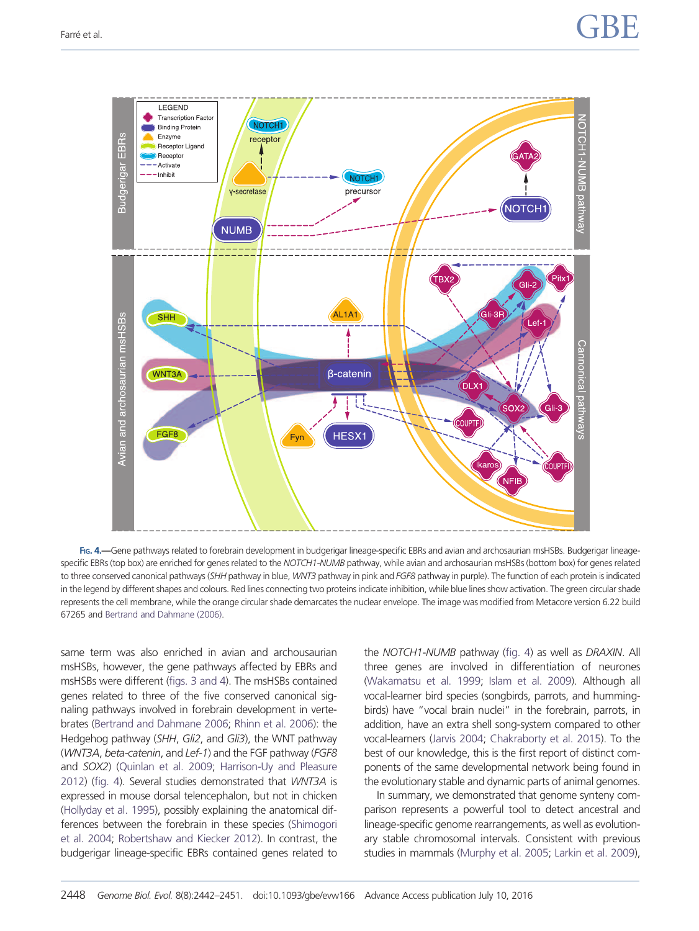

FIG. 4.—Gene pathways related to forebrain development in budgerigar lineage-specific EBRs and avian and archosaurian msHSBs. Budgerigar lineagespecific EBRs (top box) are enriched for genes related to the NOTCH1-NUMB pathway, while avian and archosaurian msHSBs (bottom box) for genes related to three conserved canonical pathways (SHH pathway in blue, WNT3 pathway in pink and FGF8 pathway in purple). The function of each protein is indicated in the legend by different shapes and colours. Red lines connecting two proteins indicate inhibition, while blue lines show activation. The green circular shade represents the cell membrane, while the orange circular shade demarcates the nuclear envelope. The image was modified from Metacore version 6.22 build 67265 and [Bertrand and Dahmane \(2006\).](#page-8-0)

same term was also enriched in avian and archousaurian msHSBs, however, the gene pathways affected by EBRs and msHSBs were different [\(figs. 3 and 4](#page-5-0)). The msHSBs contained genes related to three of the five conserved canonical signaling pathways involved in forebrain development in vertebrates ([Bertrand and Dahmane 2006](#page-8-0); [Rhinn et al. 2006\)](#page-9-0): the Hedgehog pathway (SHH, Gli2, and Gli3), the WNT pathway (WNT3A, beta-catenin, and Lef-1) and the FGF pathway (FGF8 and SOX2) ([Quinlan et al. 2009;](#page-9-0) [Harrison-Uy and Pleasure](#page-8-0) [2012\)](#page-8-0) ([fig. 4\)](#page-6-0). Several studies demonstrated that WNT3A is expressed in mouse dorsal telencephalon, but not in chicken [\(Hollyday et al. 1995\)](#page-8-0), possibly explaining the anatomical differences between the forebrain in these species [\(Shimogori](#page-9-0) [et al. 2004;](#page-9-0) [Robertshaw and Kiecker 2012](#page-9-0)). In contrast, the budgerigar lineage-specific EBRs contained genes related to the NOTCH1-NUMB pathway [\(fig. 4\)](#page-6-0) as well as DRAXIN. All three genes are involved in differentiation of neurones [\(Wakamatsu et al. 1999;](#page-9-0) [Islam et al. 2009\)](#page-8-0). Although all vocal-learner bird species (songbirds, parrots, and hummingbirds) have "vocal brain nuclei" in the forebrain, parrots, in addition, have an extra shell song-system compared to other vocal-learners ([Jarvis 2004;](#page-8-0) [Chakraborty et al. 2015\)](#page-8-0). To the best of our knowledge, this is the first report of distinct components of the same developmental network being found in the evolutionary stable and dynamic parts of animal genomes.

In summary, we demonstrated that genome synteny comparison represents a powerful tool to detect ancestral and lineage-specific genome rearrangements, as well as evolutionary stable chromosomal intervals. Consistent with previous studies in mammals [\(Murphy et al. 2005](#page-9-0); [Larkin et al. 2009\)](#page-9-0),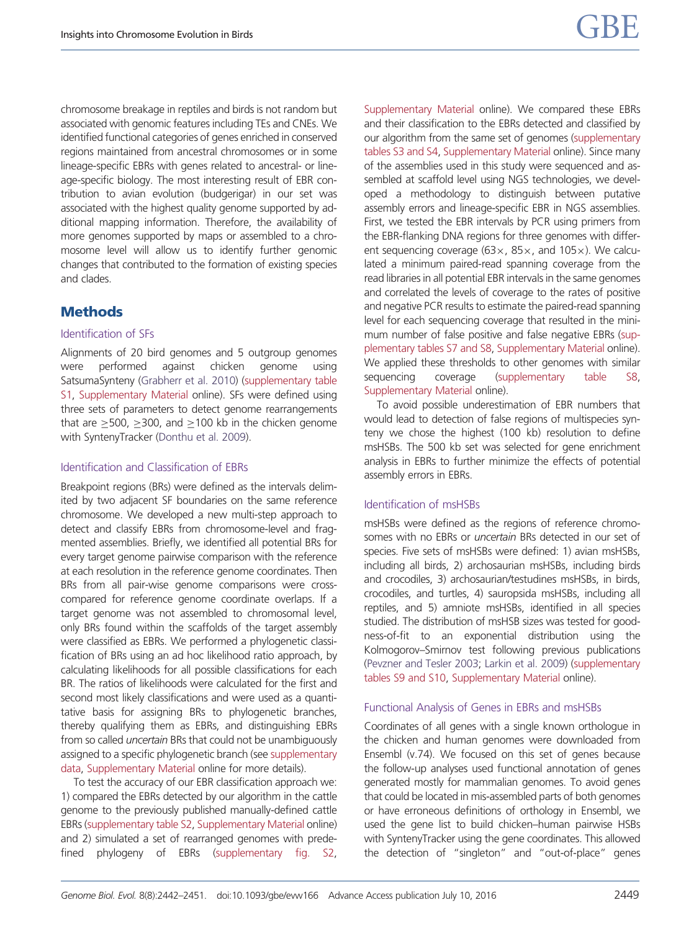<span id="page-8-0"></span>chromosome breakage in reptiles and birds is not random but associated with genomic features including TEs and CNEs. We identified functional categories of genes enriched in conserved regions maintained from ancestral chromosomes or in some lineage-specific EBRs with genes related to ancestral- or lineage-specific biology. The most interesting result of EBR contribution to avian evolution (budgerigar) in our set was associated with the highest quality genome supported by additional mapping information. Therefore, the availability of more genomes supported by maps or assembled to a chromosome level will allow us to identify further genomic changes that contributed to the formation of existing species and clades.

#### **Methods**

#### Identification of SFs

Alignments of 20 bird genomes and 5 outgroup genomes were performed against chicken genome using SatsumaSynteny (Grabherr et al. 2010) ([supplementary table](http://gbe.oxfordjournals.org/lookup/suppl/doi:10.1093/gbe/evw166/-/DC1) [S1](http://gbe.oxfordjournals.org/lookup/suppl/doi:10.1093/gbe/evw166/-/DC1), [Supplementary Material](http://gbe.oxfordjournals.org/lookup/suppl/doi:10.1093/gbe/evw166/-/DC1) online). SFs were defined using three sets of parameters to detect genome rearrangements that are  $\geq$  500,  $\geq$  300, and  $\geq$  100 kb in the chicken genome with SyntenyTracker (Donthu et al. 2009).

#### Identification and Classification of EBRs

Breakpoint regions (BRs) were defined as the intervals delimited by two adjacent SF boundaries on the same reference chromosome. We developed a new multi-step approach to detect and classify EBRs from chromosome-level and fragmented assemblies. Briefly, we identified all potential BRs for every target genome pairwise comparison with the reference at each resolution in the reference genome coordinates. Then BRs from all pair-wise genome comparisons were crosscompared for reference genome coordinate overlaps. If a target genome was not assembled to chromosomal level, only BRs found within the scaffolds of the target assembly were classified as EBRs. We performed a phylogenetic classification of BRs using an ad hoc likelihood ratio approach, by calculating likelihoods for all possible classifications for each BR. The ratios of likelihoods were calculated for the first and second most likely classifications and were used as a quantitative basis for assigning BRs to phylogenetic branches, thereby qualifying them as EBRs, and distinguishing EBRs from so called uncertain BRs that could not be unambiguously assigned to a specific phylogenetic branch (see [supplementary](http://gbe.oxfordjournals.org/lookup/suppl/doi:10.1093/gbe/evw166/-/DC1) [data,](http://gbe.oxfordjournals.org/lookup/suppl/doi:10.1093/gbe/evw166/-/DC1) [Supplementary Material](http://gbe.oxfordjournals.org/lookup/suppl/doi:10.1093/gbe/evw166/-/DC1) online for more details).

To test the accuracy of our EBR classification approach we: 1) compared the EBRs detected by our algorithm in the cattle genome to the previously published manually-defined cattle EBRs [\(supplementary table S2,](http://gbe.oxfordjournals.org/lookup/suppl/doi:10.1093/gbe/evw166/-/DC1) [Supplementary Material](http://gbe.oxfordjournals.org/lookup/suppl/doi:10.1093/gbe/evw166/-/DC1) online) and 2) simulated a set of rearranged genomes with predefined phylogeny of EBRs [\(supplementary fig. S2,](http://gbe.oxfordjournals.org/lookup/suppl/doi:10.1093/gbe/evw166/-/DC1) [Supplementary Material](http://gbe.oxfordjournals.org/lookup/suppl/doi:10.1093/gbe/evw166/-/DC1) online). We compared these EBRs and their classification to the EBRs detected and classified by our algorithm from the same set of genomes [\(supplementary](http://gbe.oxfordjournals.org/lookup/suppl/doi:10.1093/gbe/evw166/-/DC1) [tables S3 and S4](http://gbe.oxfordjournals.org/lookup/suppl/doi:10.1093/gbe/evw166/-/DC1), [Supplementary Material](http://gbe.oxfordjournals.org/lookup/suppl/doi:10.1093/gbe/evw166/-/DC1) online). Since many of the assemblies used in this study were sequenced and assembled at scaffold level using NGS technologies, we developed a methodology to distinguish between putative assembly errors and lineage-specific EBR in NGS assemblies. First, we tested the EBR intervals by PCR using primers from the EBR-flanking DNA regions for three genomes with different sequencing coverage ( $63x$ ,  $85x$ , and  $105x$ ). We calculated a minimum paired-read spanning coverage from the read libraries in all potential EBR intervals in the same genomes and correlated the levels of coverage to the rates of positive and negative PCR results to estimate the paired-read spanning level for each sequencing coverage that resulted in the minimum number of false positive and false negative EBRs [\(sup](http://gbe.oxfordjournals.org/lookup/suppl/doi:10.1093/gbe/evw166/-/DC1)[plementary tables S7 and S8,](http://gbe.oxfordjournals.org/lookup/suppl/doi:10.1093/gbe/evw166/-/DC1) [Supplementary Material](http://gbe.oxfordjournals.org/lookup/suppl/doi:10.1093/gbe/evw166/-/DC1) online). We applied these thresholds to other genomes with similar sequencing coverage ([supplementary table S8](http://gbe.oxfordjournals.org/lookup/suppl/doi:10.1093/gbe/evw166/-/DC1), [Supplementary Material](http://gbe.oxfordjournals.org/lookup/suppl/doi:10.1093/gbe/evw166/-/DC1) online).

To avoid possible underestimation of EBR numbers that would lead to detection of false regions of multispecies synteny we chose the highest (100 kb) resolution to define msHSBs. The 500 kb set was selected for gene enrichment analysis in EBRs to further minimize the effects of potential assembly errors in EBRs.

#### Identification of msHSBs

msHSBs were defined as the regions of reference chromosomes with no EBRs or uncertain BRs detected in our set of species. Five sets of msHSBs were defined: 1) avian msHSBs, including all birds, 2) archosaurian msHSBs, including birds and crocodiles, 3) archosaurian/testudines msHSBs, in birds, crocodiles, and turtles, 4) sauropsida msHSBs, including all reptiles, and 5) amniote msHSBs, identified in all species studied. The distribution of msHSB sizes was tested for goodness-of-fit to an exponential distribution using the Kolmogorov–Smirnov test following previous publications ([Pevzner and Tesler 2003;](#page-9-0) [Larkin et al. 2009](#page-9-0)) [\(supplementary](http://gbe.oxfordjournals.org/lookup/suppl/doi:10.1093/gbe/evw166/-/DC1) [tables S9 and S10,](http://gbe.oxfordjournals.org/lookup/suppl/doi:10.1093/gbe/evw166/-/DC1) [Supplementary Material](http://gbe.oxfordjournals.org/lookup/suppl/doi:10.1093/gbe/evw166/-/DC1) online).

#### Functional Analysis of Genes in EBRs and msHSBs

Coordinates of all genes with a single known orthologue in the chicken and human genomes were downloaded from Ensembl (v.74). We focused on this set of genes because the follow-up analyses used functional annotation of genes generated mostly for mammalian genomes. To avoid genes that could be located in mis-assembled parts of both genomes or have erroneous definitions of orthology in Ensembl, we used the gene list to build chicken–human pairwise HSBs with SyntenyTracker using the gene coordinates. This allowed the detection of "singleton" and "out-of-place" genes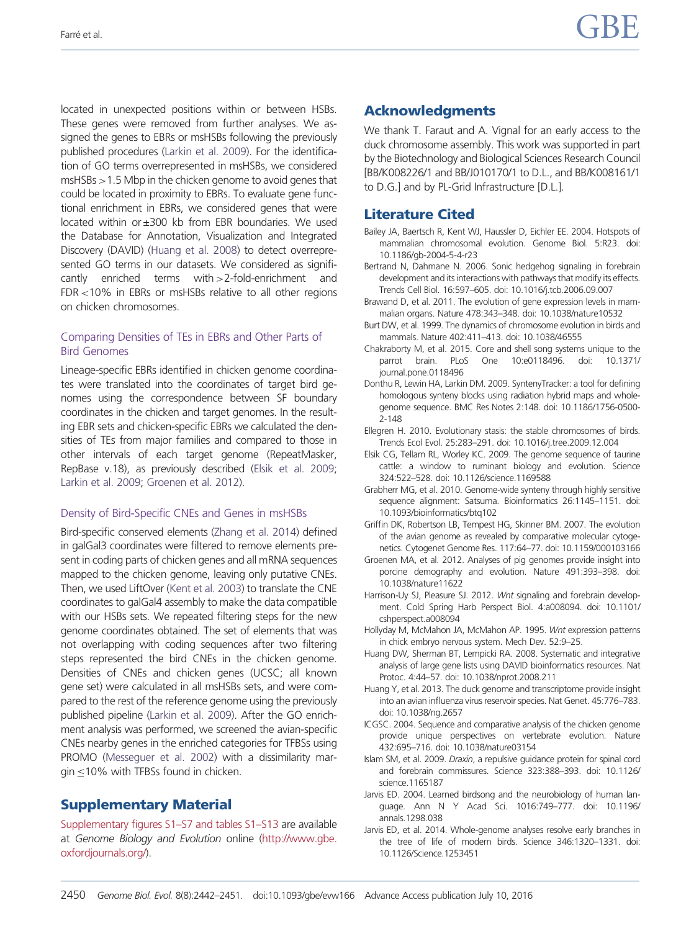<span id="page-9-0"></span>located in unexpected positions within or between HSBs. These genes were removed from further analyses. We assigned the genes to EBRs or msHSBs following the previously published procedures (Larkin et al. 2009). For the identification of GO terms overrepresented in msHSBs, we considered msHSBs>1.5 Mbp in the chicken genome to avoid genes that could be located in proximity to EBRs. To evaluate gene functional enrichment in EBRs, we considered genes that were located within or ±300 kb from EBR boundaries. We used the Database for Annotation, Visualization and Integrated Discovery (DAVID) ([Huang et al. 2008\)](#page-8-0) to detect overrepresented GO terms in our datasets. We considered as significantly enriched terms with>2-fold-enrichment and FDR<10% in EBRs or msHSBs relative to all other regions on chicken chromosomes.

#### Comparing Densities of TEs in EBRs and Other Parts of Bird Genomes

Lineage-specific EBRs identified in chicken genome coordinates were translated into the coordinates of target bird genomes using the correspondence between SF boundary coordinates in the chicken and target genomes. In the resulting EBR sets and chicken-specific EBRs we calculated the densities of TEs from major families and compared to those in other intervals of each target genome (RepeatMasker, RepBase v.18), as previously described [\(Elsik et al. 2009;](#page-8-0) Larkin et al. 2009; [Groenen et al. 2012\)](#page-8-0).

#### Density of Bird-Specific CNEs and Genes in msHSBs

Bird-specific conserved elements (Zhang et al. 2014) defined in galGal3 coordinates were filtered to remove elements present in coding parts of chicken genes and all mRNA sequences mapped to the chicken genome, leaving only putative CNEs. Then, we used LiftOver (Kent et al. 2003) to translate the CNE coordinates to galGal4 assembly to make the data compatible with our HSBs sets. We repeated filtering steps for the new genome coordinates obtained. The set of elements that was not overlapping with coding sequences after two filtering steps represented the bird CNEs in the chicken genome. Densities of CNEs and chicken genes (UCSC; all known gene set) were calculated in all msHSBs sets, and were compared to the rest of the reference genome using the previously published pipeline (Larkin et al. 2009). After the GO enrichment analysis was performed, we screened the avian-specific CNEs nearby genes in the enriched categories for TFBSs using PROMO (Messeguer et al. 2002) with a dissimilarity margin  $\leq$ 10% with TFBSs found in chicken.

#### Supplementary Material

[Supplementary figures S1–S7 and tables S1–S13](http://gbe.oxfordjournals.org/lookup/suppl/doi:10.1093/gbe/evw166/-/DC1) are available at Genome Biology and Evolution online [\(http://www.gbe.](http://www.gbe.oxfordjournals.org/) [oxfordjournals.org/](http://www.gbe.oxfordjournals.org/)).

#### Acknowledgments

We thank T. Faraut and A. Vignal for an early access to the duck chromosome assembly. This work was supported in part by the Biotechnology and Biological Sciences Research Council [BB/K008226/1 and BB/J010170/1 to D.L., and BB/K008161/1 to D.G.] and by PL-Grid Infrastructure [D.L.].

#### Literature Cited

- Bailey JA, Baertsch R, Kent WJ, Haussler D, Eichler EE. 2004. Hotspots of mammalian chromosomal evolution. Genome Biol. 5:R23. doi: 10.1186/gb-2004-5-4-r23
- Bertrand N, Dahmane N. 2006. Sonic hedgehog signaling in forebrain development and its interactions with pathways that modify its effects. Trends Cell Biol. 16:597–605. doi: 10.1016/j.tcb.2006.09.007
- Brawand D, et al. 2011. The evolution of gene expression levels in mammalian organs. Nature 478:343–348. doi: 10.1038/nature10532
- Burt DW, et al. 1999. The dynamics of chromosome evolution in birds and mammals. Nature 402:411–413. doi: 10.1038/46555
- Chakraborty M, et al. 2015. Core and shell song systems unique to the parrot brain. PLoS One 10:e0118496. doi: 10.1371/ journal.pone.0118496
- Donthu R, Lewin HA, Larkin DM. 2009. SyntenyTracker: a tool for defining homologous synteny blocks using radiation hybrid maps and wholegenome sequence. BMC Res Notes 2:148. doi: 10.1186/1756-0500- 2-148
- Ellegren H. 2010. Evolutionary stasis: the stable chromosomes of birds. Trends Ecol Evol. 25:283–291. doi: 10.1016/j.tree.2009.12.004
- Elsik CG, Tellam RL, Worley KC. 2009. The genome sequence of taurine cattle: a window to ruminant biology and evolution. Science 324:522–528. doi: 10.1126/science.1169588
- Grabherr MG, et al. 2010. Genome-wide synteny through highly sensitive sequence alignment: Satsuma. Bioinformatics 26:1145–1151. doi: 10.1093/bioinformatics/btq102
- Griffin DK, Robertson LB, Tempest HG, Skinner BM. 2007. The evolution of the avian genome as revealed by comparative molecular cytogenetics. Cytogenet Genome Res. 117:64–77. doi: 10.1159/000103166
- Groenen MA, et al. 2012. Analyses of pig genomes provide insight into porcine demography and evolution. Nature 491:393–398. doi: 10.1038/nature11622
- Harrison-Uy SJ, Pleasure SJ. 2012. Wnt signaling and forebrain development. Cold Spring Harb Perspect Biol. 4:a008094. doi: 10.1101/ cshperspect.a008094
- Hollyday M, McMahon JA, McMahon AP. 1995. Wnt expression patterns in chick embryo nervous system. Mech Dev. 52:9–25.
- Huang DW, Sherman BT, Lempicki RA. 2008. Systematic and integrative analysis of large gene lists using DAVID bioinformatics resources. Nat Protoc. 4:44–57. doi: 10.1038/nprot.2008.211
- Huang Y, et al. 2013. The duck genome and transcriptome provide insight into an avian influenza virus reservoir species. Nat Genet. 45:776–783. doi: 10.1038/ng.2657
- ICGSC. 2004. Sequence and comparative analysis of the chicken genome provide unique perspectives on vertebrate evolution. Nature 432:695–716. doi: 10.1038/nature03154
- Islam SM, et al. 2009. Draxin, a repulsive guidance protein for spinal cord and forebrain commissures. Science 323:388–393. doi: 10.1126/ science.1165187
- Jarvis ED. 2004. Learned birdsong and the neurobiology of human language. Ann N Y Acad Sci. 1016:749–777. doi: 10.1196/ annals.1298.038
- Jarvis ED, et al. 2014. Whole-genome analyses resolve early branches in the tree of life of modern birds. Science 346:1320–1331. doi: 10.1126/Science.1253451